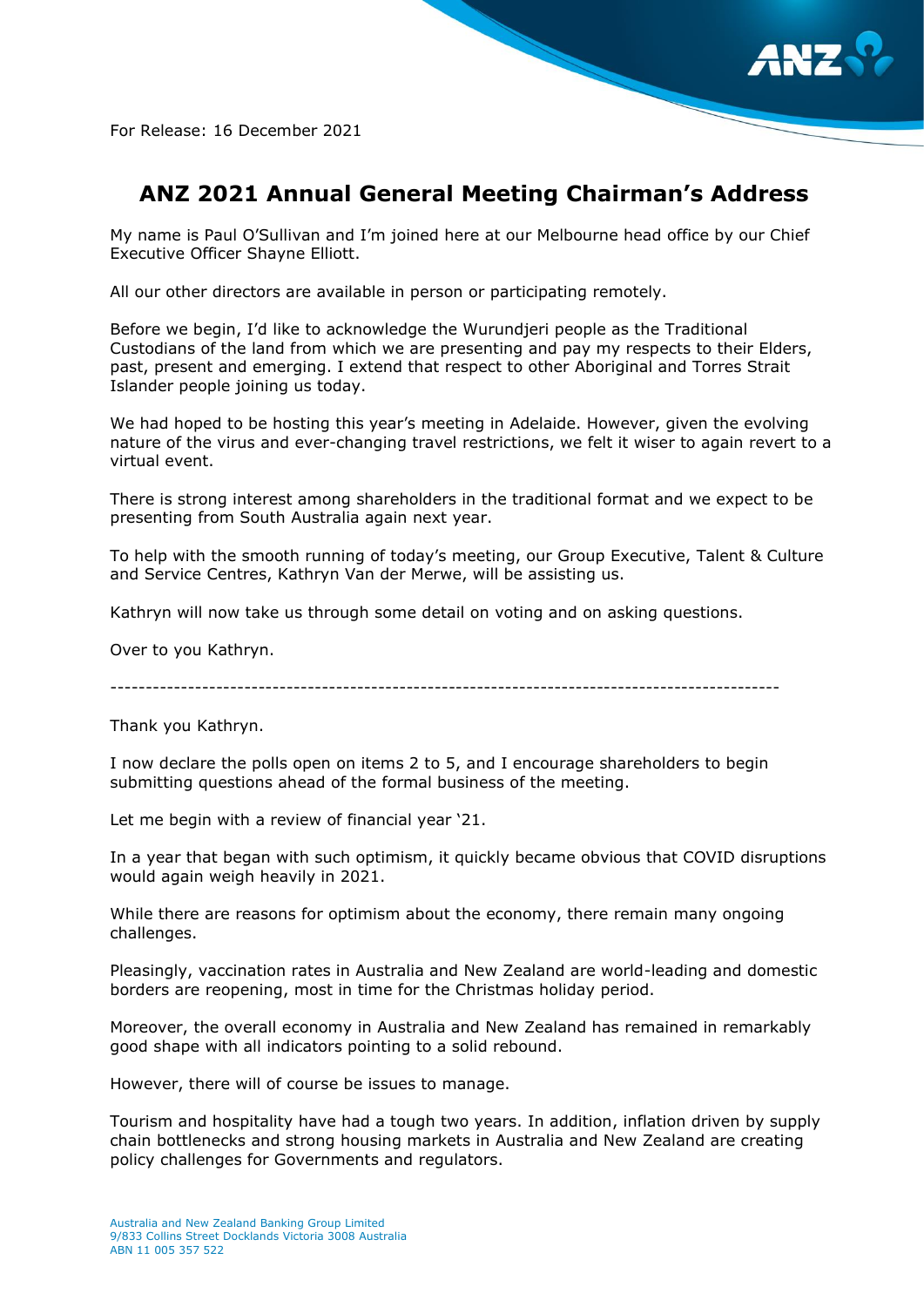

For Release: 16 December 2021

## **ANZ 2021 Annual General Meeting Chairman's Address**

My name is Paul O'Sullivan and I'm joined here at our Melbourne head office by our Chief Executive Officer Shayne Elliott.

All our other directors are available in person or participating remotely.

Before we begin, I'd like to acknowledge the Wurundjeri people as the Traditional Custodians of the land from which we are presenting and pay my respects to their Elders, past, present and emerging. I extend that respect to other Aboriginal and Torres Strait Islander people joining us today.

We had hoped to be hosting this year's meeting in Adelaide. However, given the evolving nature of the virus and ever-changing travel restrictions, we felt it wiser to again revert to a virtual event.

There is strong interest among shareholders in the traditional format and we expect to be presenting from South Australia again next year.

To help with the smooth running of today's meeting, our Group Executive, Talent & Culture and Service Centres, Kathryn Van der Merwe, will be assisting us.

Kathryn will now take us through some detail on voting and on asking questions.

Over to you Kathryn.

-----------------------------------------------------------------------------------------------

Thank you Kathryn.

I now declare the polls open on items 2 to 5, and I encourage shareholders to begin submitting questions ahead of the formal business of the meeting.

Let me begin with a review of financial year '21.

In a year that began with such optimism, it quickly became obvious that COVID disruptions would again weigh heavily in 2021.

While there are reasons for optimism about the economy, there remain many ongoing challenges.

Pleasingly, vaccination rates in Australia and New Zealand are world-leading and domestic borders are reopening, most in time for the Christmas holiday period.

Moreover, the overall economy in Australia and New Zealand has remained in remarkably good shape with all indicators pointing to a solid rebound.

However, there will of course be issues to manage.

Tourism and hospitality have had a tough two years. In addition, inflation driven by supply chain bottlenecks and strong housing markets in Australia and New Zealand are creating policy challenges for Governments and regulators.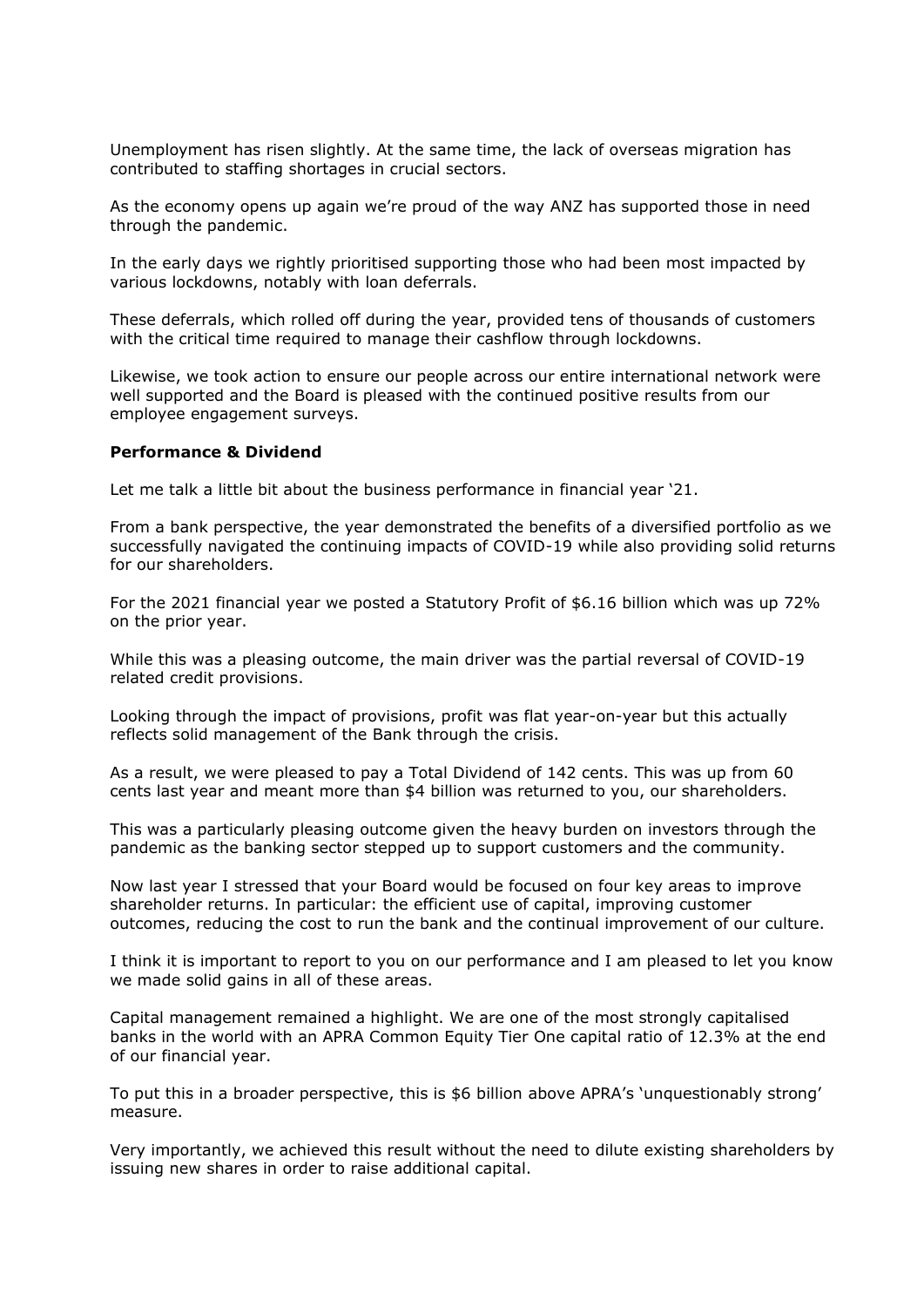Unemployment has risen slightly. At the same time, the lack of overseas migration has contributed to staffing shortages in crucial sectors.

As the economy opens up again we're proud of the way ANZ has supported those in need through the pandemic.

In the early days we rightly prioritised supporting those who had been most impacted by various lockdowns, notably with loan deferrals.

These deferrals, which rolled off during the year, provided tens of thousands of customers with the critical time required to manage their cashflow through lockdowns.

Likewise, we took action to ensure our people across our entire international network were well supported and the Board is pleased with the continued positive results from our employee engagement surveys.

## **Performance & Dividend**

Let me talk a little bit about the business performance in financial year '21.

From a bank perspective, the year demonstrated the benefits of a diversified portfolio as we successfully navigated the continuing impacts of COVID-19 while also providing solid returns for our shareholders.

For the 2021 financial year we posted a Statutory Profit of \$6.16 billion which was up 72% on the prior year.

While this was a pleasing outcome, the main driver was the partial reversal of COVID-19 related credit provisions.

Looking through the impact of provisions, profit was flat year-on-year but this actually reflects solid management of the Bank through the crisis.

As a result, we were pleased to pay a Total Dividend of 142 cents. This was up from 60 cents last year and meant more than \$4 billion was returned to you, our shareholders.

This was a particularly pleasing outcome given the heavy burden on investors through the pandemic as the banking sector stepped up to support customers and the community.

Now last year I stressed that your Board would be focused on four key areas to improve shareholder returns. In particular: the efficient use of capital, improving customer outcomes, reducing the cost to run the bank and the continual improvement of our culture.

I think it is important to report to you on our performance and I am pleased to let you know we made solid gains in all of these areas.

Capital management remained a highlight. We are one of the most strongly capitalised banks in the world with an APRA Common Equity Tier One capital ratio of 12.3% at the end of our financial year.

To put this in a broader perspective, this is \$6 billion above APRA's 'unquestionably strong' measure.

Very importantly, we achieved this result without the need to dilute existing shareholders by issuing new shares in order to raise additional capital.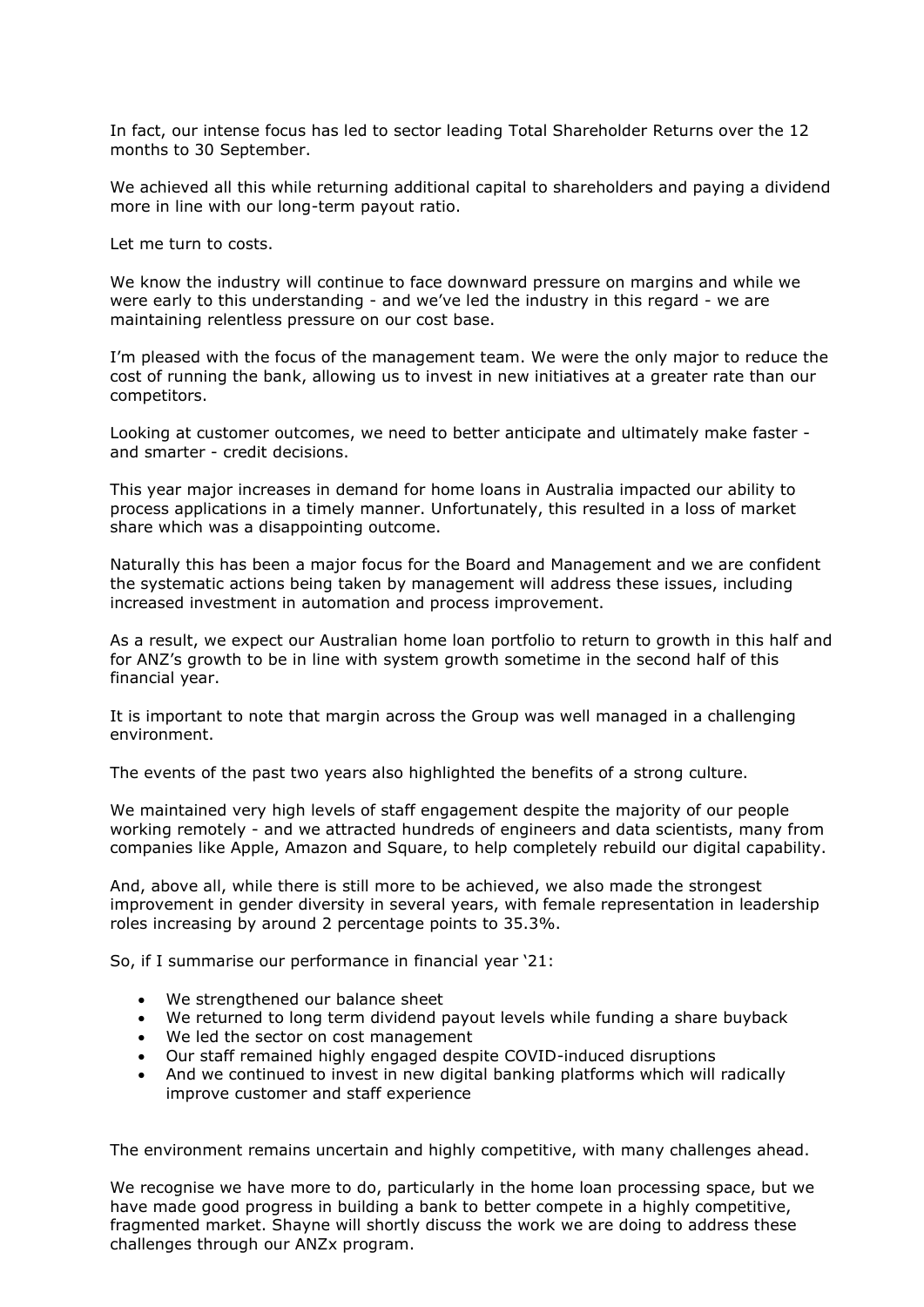In fact, our intense focus has led to sector leading Total Shareholder Returns over the 12 months to 30 September.

We achieved all this while returning additional capital to shareholders and paying a dividend more in line with our long-term payout ratio.

Let me turn to costs.

We know the industry will continue to face downward pressure on margins and while we were early to this understanding - and we've led the industry in this regard - we are maintaining relentless pressure on our cost base.

I'm pleased with the focus of the management team. We were the only major to reduce the cost of running the bank, allowing us to invest in new initiatives at a greater rate than our competitors.

Looking at customer outcomes, we need to better anticipate and ultimately make faster and smarter - credit decisions.

This year major increases in demand for home loans in Australia impacted our ability to process applications in a timely manner. Unfortunately, this resulted in a loss of market share which was a disappointing outcome.

Naturally this has been a major focus for the Board and Management and we are confident the systematic actions being taken by management will address these issues, including increased investment in automation and process improvement.

As a result, we expect our Australian home loan portfolio to return to growth in this half and for ANZ's growth to be in line with system growth sometime in the second half of this financial year.

It is important to note that margin across the Group was well managed in a challenging environment.

The events of the past two years also highlighted the benefits of a strong culture.

We maintained very high levels of staff engagement despite the majority of our people working remotely - and we attracted hundreds of engineers and data scientists, many from companies like Apple, Amazon and Square, to help completely rebuild our digital capability.

And, above all, while there is still more to be achieved, we also made the strongest improvement in gender diversity in several years, with female representation in leadership roles increasing by around 2 percentage points to 35.3%.

So, if I summarise our performance in financial year '21:

- We strengthened our balance sheet
- We returned to long term dividend payout levels while funding a share buyback
- We led the sector on cost management
- Our staff remained highly engaged despite COVID-induced disruptions
- And we continued to invest in new digital banking platforms which will radically improve customer and staff experience

The environment remains uncertain and highly competitive, with many challenges ahead.

We recognise we have more to do, particularly in the home loan processing space, but we have made good progress in building a bank to better compete in a highly competitive, fragmented market. Shayne will shortly discuss the work we are doing to address these challenges through our ANZx program.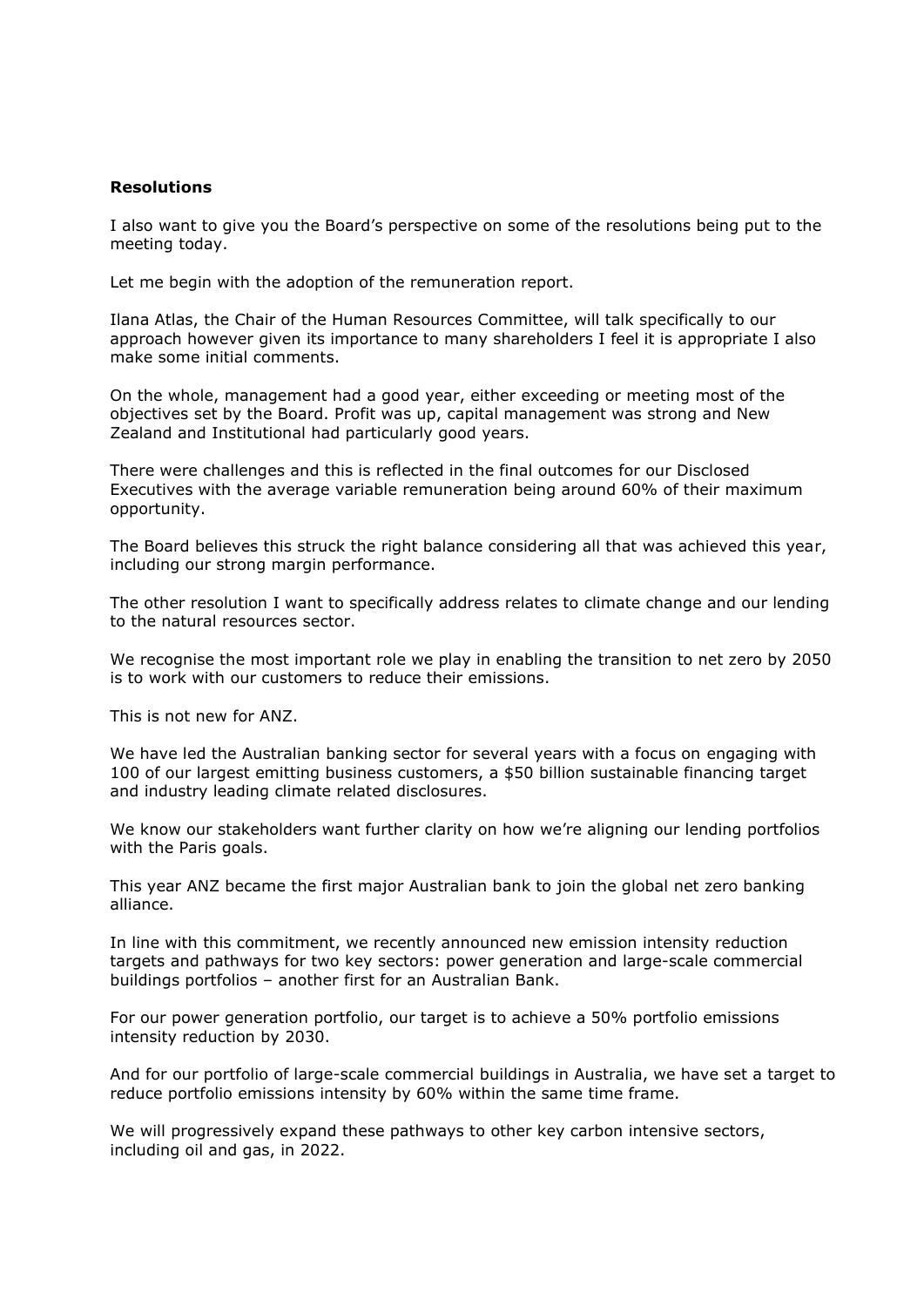## **Resolutions**

I also want to give you the Board's perspective on some of the resolutions being put to the meeting today.

Let me begin with the adoption of the remuneration report.

Ilana Atlas, the Chair of the Human Resources Committee, will talk specifically to our approach however given its importance to many shareholders I feel it is appropriate I also make some initial comments.

On the whole, management had a good year, either exceeding or meeting most of the objectives set by the Board. Profit was up, capital management was strong and New Zealand and Institutional had particularly good years.

There were challenges and this is reflected in the final outcomes for our Disclosed Executives with the average variable remuneration being around 60% of their maximum opportunity.

The Board believes this struck the right balance considering all that was achieved this year, including our strong margin performance.

The other resolution I want to specifically address relates to climate change and our lending to the natural resources sector.

We recognise the most important role we play in enabling the transition to net zero by 2050 is to work with our customers to reduce their emissions.

This is not new for ANZ.

We have led the Australian banking sector for several years with a focus on engaging with 100 of our largest emitting business customers, a \$50 billion sustainable financing target and industry leading climate related disclosures.

We know our stakeholders want further clarity on how we're aligning our lending portfolios with the Paris goals.

This year ANZ became the first major Australian bank to join the global net zero banking alliance.

In line with this commitment, we recently announced new emission intensity reduction targets and pathways for two key sectors: power generation and large-scale commercial buildings portfolios – another first for an Australian Bank.

For our power generation portfolio, our target is to achieve a 50% portfolio emissions intensity reduction by 2030.

And for our portfolio of large-scale commercial buildings in Australia, we have set a target to reduce portfolio emissions intensity by 60% within the same time frame.

We will progressively expand these pathways to other key carbon intensive sectors, including oil and gas, in 2022.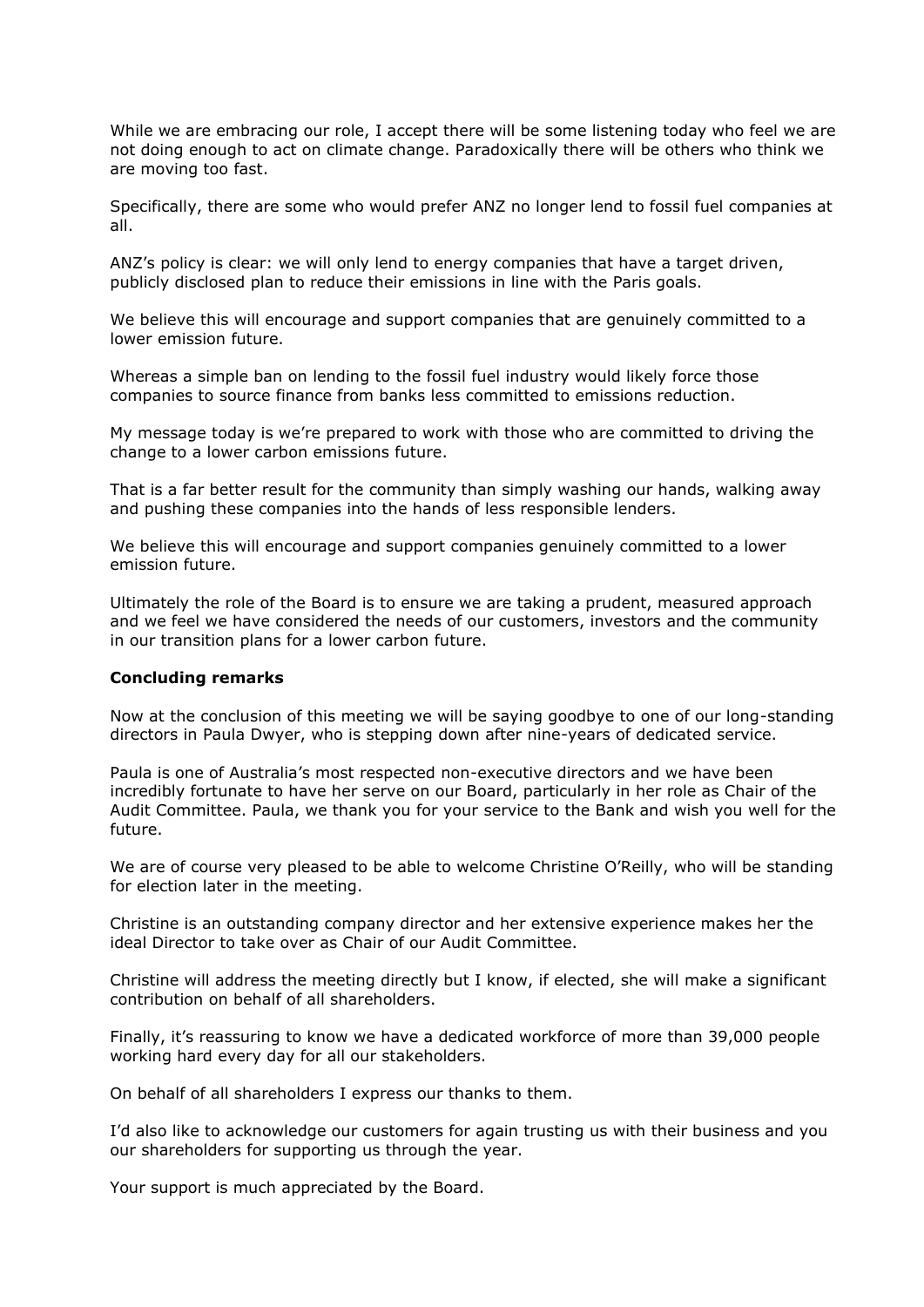While we are embracing our role, I accept there will be some listening today who feel we are not doing enough to act on climate change. Paradoxically there will be others who think we are moving too fast.

Specifically, there are some who would prefer ANZ no longer lend to fossil fuel companies at all.

ANZ's policy is clear: we will only lend to energy companies that have a target driven, publicly disclosed plan to reduce their emissions in line with the Paris goals.

We believe this will encourage and support companies that are genuinely committed to a lower emission future.

Whereas a simple ban on lending to the fossil fuel industry would likely force those companies to source finance from banks less committed to emissions reduction.

My message today is we're prepared to work with those who are committed to driving the change to a lower carbon emissions future.

That is a far better result for the community than simply washing our hands, walking away and pushing these companies into the hands of less responsible lenders.

We believe this will encourage and support companies genuinely committed to a lower emission future.

Ultimately the role of the Board is to ensure we are taking a prudent, measured approach and we feel we have considered the needs of our customers, investors and the community in our transition plans for a lower carbon future.

## **Concluding remarks**

Now at the conclusion of this meeting we will be saying goodbye to one of our long-standing directors in Paula Dwyer, who is stepping down after nine-years of dedicated service.

Paula is one of Australia's most respected non-executive directors and we have been incredibly fortunate to have her serve on our Board, particularly in her role as Chair of the Audit Committee. Paula, we thank you for your service to the Bank and wish you well for the future.

We are of course very pleased to be able to welcome Christine O'Reilly, who will be standing for election later in the meeting.

Christine is an outstanding company director and her extensive experience makes her the ideal Director to take over as Chair of our Audit Committee.

Christine will address the meeting directly but I know, if elected, she will make a significant contribution on behalf of all shareholders.

Finally, it's reassuring to know we have a dedicated workforce of more than 39,000 people working hard every day for all our stakeholders.

On behalf of all shareholders I express our thanks to them.

I'd also like to acknowledge our customers for again trusting us with their business and you our shareholders for supporting us through the year.

Your support is much appreciated by the Board.